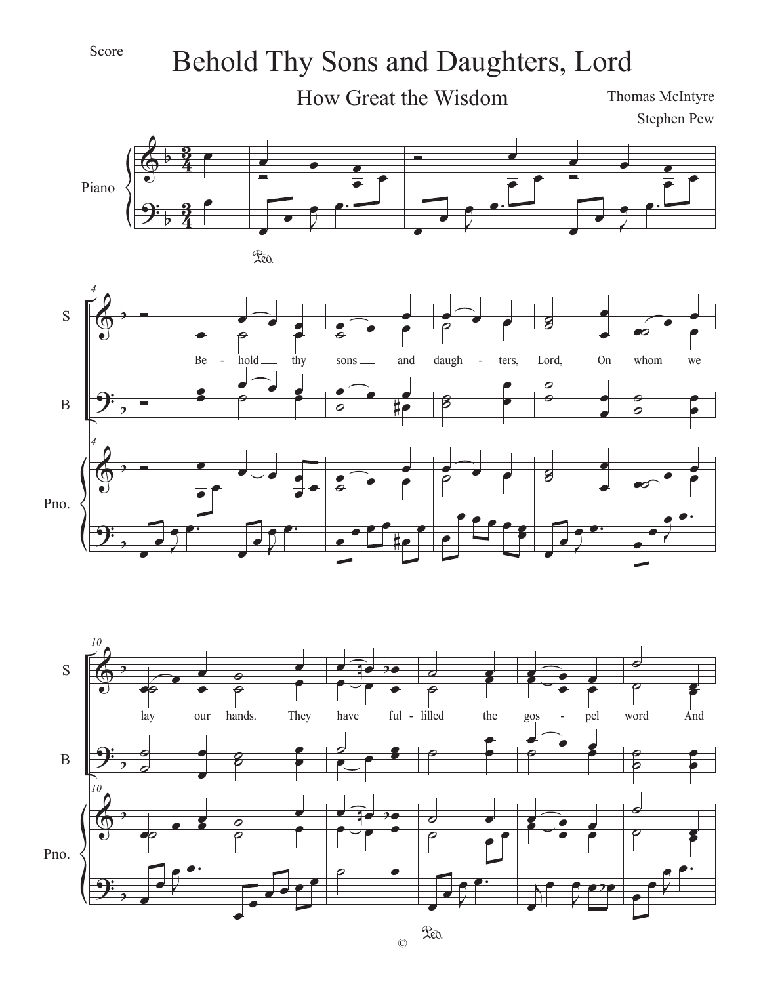

## Behold Thy Sons and Daughters, Lord



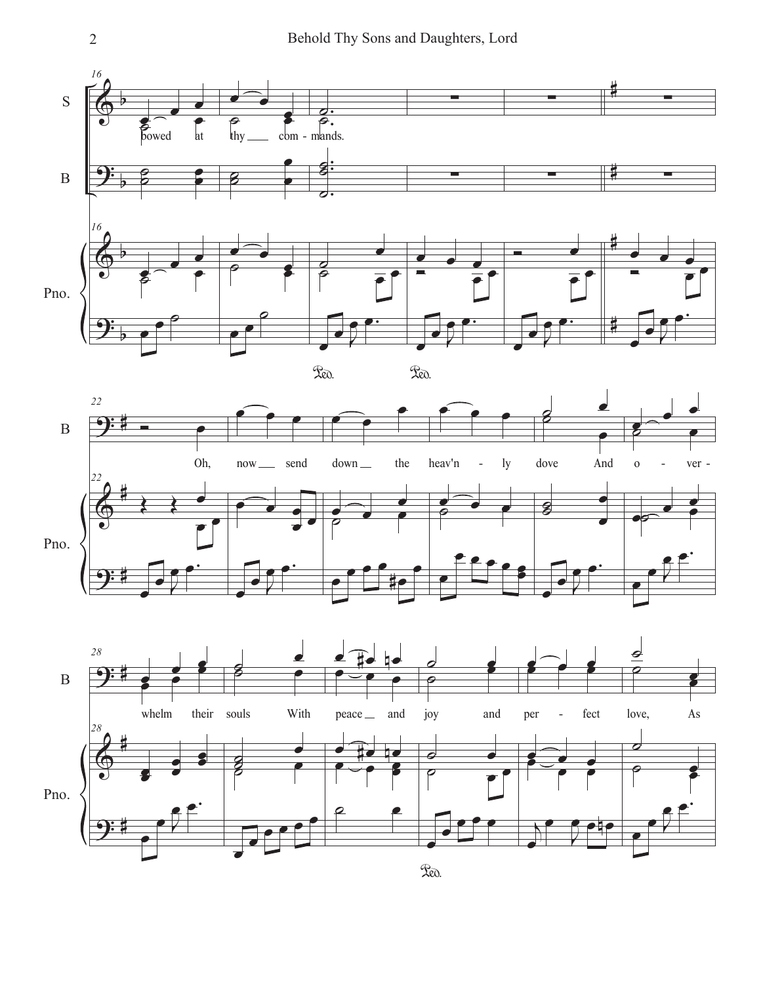



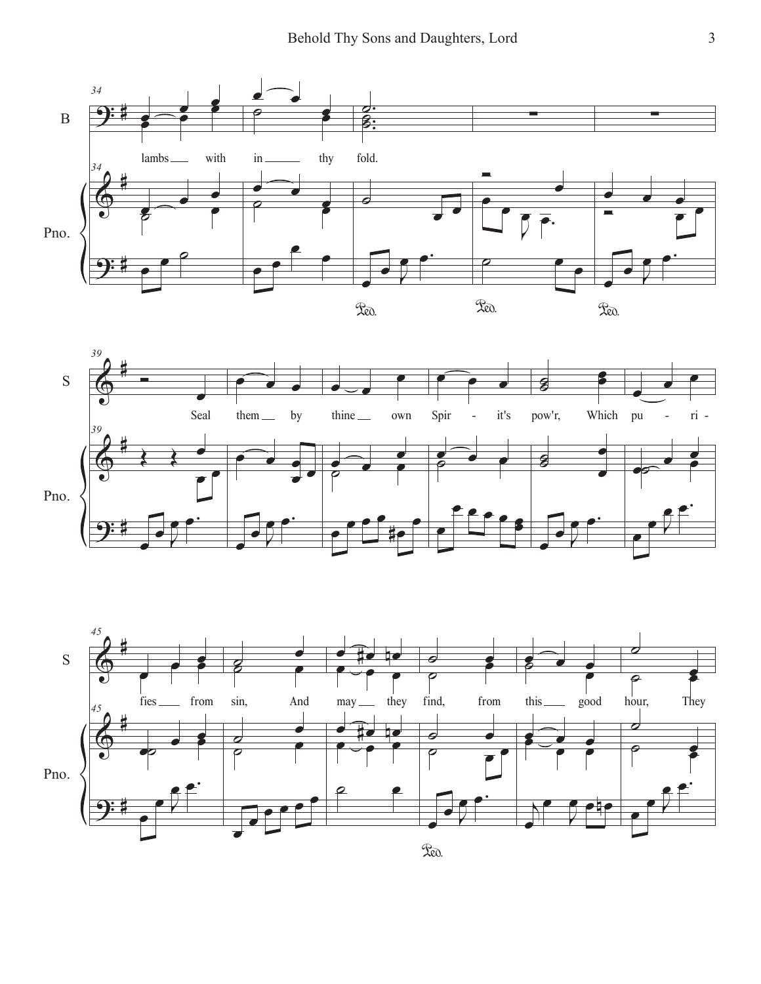



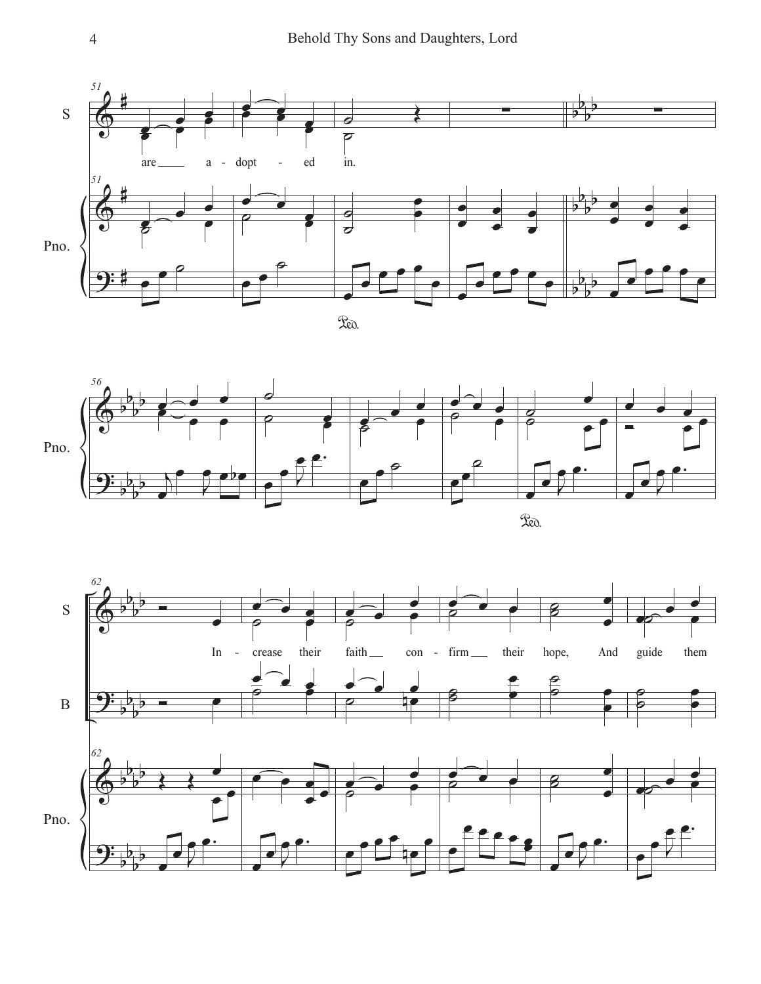